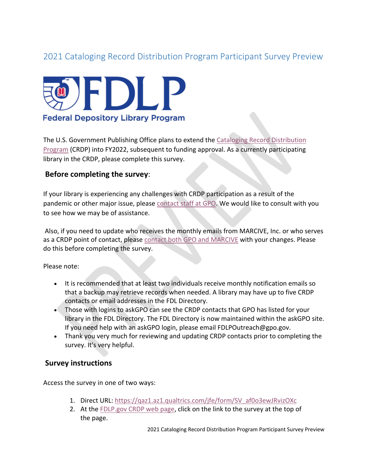# 2021 Cataloging Record Distribution Program Participant Survey Preview



The U.S. Government Publishing Office plans to extend the [Cataloging Record Distribution](https://www.fdlp.gov/catalogingandclassification/cataloging-record-distribution-program)  [Program](https://www.fdlp.gov/catalogingandclassification/cataloging-record-distribution-program) (CRDP) into FY2022, subsequent to funding approval. As a currently participating library in the CRDP, please complete this survey.

## **Before completing the survey**:

If your library is experiencing any challenges with CRDP participation as a result of the pandemic or other major issue, please [contact staff at GPO.](https://www.fdlp.gov/catalogingandclassification/cataloging-record-distribution-program#guidance_quest_tech) We would like to consult with you to see how we may be of assistance.

Also, if you need to update who receives the monthly emails from MARCIVE, Inc. or who serves as a CRDP point of contact, please [contact both GPO and MARCIVE](https://www.fdlp.gov/catalogingandclassification/cataloging-record-distribution-program#guidance_quest_tech) with your changes. Please do this before completing the survey.

Please note:

- It is recommended that at least two individuals receive monthly notification emails so that a backup may retrieve records when needed. A library may have up to five CRDP contacts or email addresses in the FDL Directory.
- Those with logins to [askGPO](https://ask.gpo.gov/s/) can see the CRDP contacts that GPO has listed for your library in the FDL Directory. The FDL Directory is now maintained within the [askGPO site.](https://www.gpo.gov/askgpo) If you need help with an askGPO login, please email FDLPOutreach@gpo.gov.
- Thank you very much for reviewing and updating CRDP contacts prior to completing the survey. It's very helpful.

#### **Survey instructions**

Access the survey in one of two ways:

- 1. [Direct URL: https://qaz1.az1.qualtrics.com/jfe/form/SV\\_af0o3ewJRvizOXc](https://qaz1.az1.qualtrics.com/jfe/form/SV_af0o3ewJRvizOXc)
- 2. At the [FDLP.gov CRDP web page,](https://www.fdlp.gov/catalogingandclassification/cataloging-record-distribution-program) click on the link to the survey at the top of the page.

2021 Cataloging Record Distribution Program Participant Survey Preview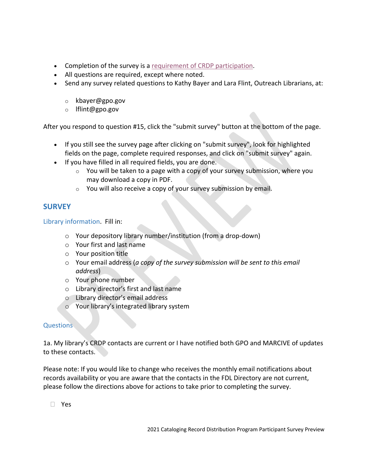- Completion of the survey is a [requirement of CRDP participation.](https://www.fdlp.gov/catalogingandclassification/cataloging-record-distribution-program#part_req)
- All questions are required, except where noted.
- Send any survey related questions to Kathy Bayer and Lara Flint, Outreach Librarians, at:
	- o kbayer@gpo.gov
	- o lflint@gpo.gov

After you respond to question #15, click the "submit survey" button at the bottom of the page.

- If you still see the survey page after clicking on "submit survey", look for highlighted fields on the page, complete required responses, and click on "submit survey" again.
- If you have filled in all required fields, you are done.
	- $\circ$  You will be taken to a page with a copy of your survey submission, where you may download a copy in PDF.
	- o You will also receive a copy of your survey submission by email.

## **SURVEY**

Library information. Fill in:

- o Your depository library number/institution (from a drop-down)
- o Your first and last name
- o Your position title
- o Your email address (*a copy of the survey submission will be sent to this email address*)
- o Your phone number
- o Library director's first and last name
- o Library director's email address
- o Your library's integrated library system

## **Questions**

1a. My library's CRDP contacts are current or I have notified both GPO and MARCIVE of updates to these contacts.

Please note: If you would like to change who receives the monthly email notifications about records availability or you are aware that the contacts in the FDL Directory are not current, please follow the directions above for actions to take prior to completing the survey.

Yes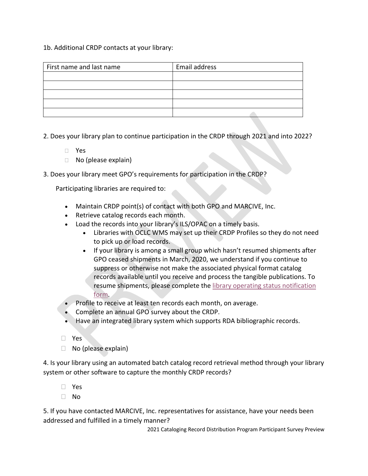#### 1b. Additional CRDP contacts at your library:

| First name and last name | Email address |
|--------------------------|---------------|
|                          |               |
|                          |               |
|                          |               |
|                          |               |
|                          |               |

- 2. Does your library plan to continue participation in the CRDP through 2021 and into 2022?
	- Yes
	- $\Box$  No (please explain)
- 3. Does your library meet GPO's [requirements for participation](https://www.fdlp.gov/catalogingandclassification/cataloging-record-distribution-program#part_req) in the CRDP?

Participating libraries are required to:

- Maintain CRDP point(s) of contact with both GPO and MARCIVE, Inc.
- Retrieve catalog records each month.
- Load the records into your library's ILS/OPAC on a timely basis.
	- Libraries with OCLC WMS may set up their CRDP Profiles so they do not need to pick up or load records.
	- If your library is among a small group which hasn't resumed shipments after GPO ceased shipments in March, 2020, we understand if you continue to suppress or otherwise not make the associated physical format catalog records available until you receive and process the tangible publications. To resume shipments, please complete the library operating status notification [form.](https://qaz1.az1.qualtrics.com/jfe/form/SV_3ac0Ih4DTVxsNoh)
- Profile to receive at least ten records each month, on average.
- Complete an annual GPO survey about the CRDP.
- Have an integrated library system which supports RDA bibliographic records.
- Yes
- $\Box$  No (please explain)

4. Is your library using an automated batch catalog record retrieval method through your library system or other software to capture the monthly CRDP records?

- Yes
- $\neg$  No

5. If you have contacted MARCIVE, Inc. representatives for assistance, have your needs been addressed and fulfilled in a timely manner?

2021 Cataloging Record Distribution Program Participant Survey Preview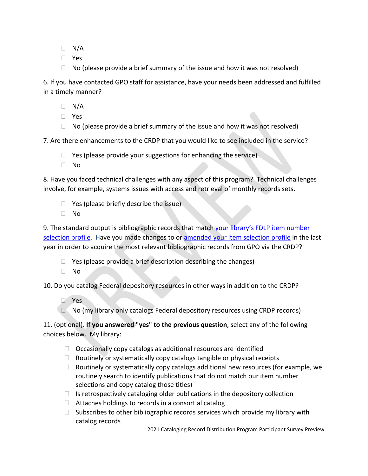- $\Box$  N/A
- Yes
- $\Box$  No (please provide a brief summary of the issue and how it was not resolved)

6. If you have contacted GPO staff for assistance, have your needs been addressed and fulfilled in a timely manner?

- $\Box$  N/A
- Yes
- $\Box$  No (please provide a brief summary of the issue and how it was not resolved)

7. Are there enhancements to the CRDP that you would like to see included in the service?

- $\Box$  Yes (please provide your suggestions for enhancing the service)
- No

8. Have you faced technical challenges with any aspect of this program? Technical challenges involve, for example, systems issues with access and retrieval of monthly records sets.

- $\Box$  Yes (please briefly describe the issue)
- No

9. The standard output is bibliographic records that match your library's FDLP item number [selection profile.](https://selections.fdlp.gov/OA_HTML/gpolibItemLister.jsp) Have you made changes to or [amended your item selection profile](https://www.fdlp.gov/requirements-guidance/guidance/10-amending-your-library-s-selection-profile) in the last year in order to acquire the most relevant bibliographic records from GPO via the CRDP?

- $\Box$  Yes (please provide a brief description describing the changes)
- $\Box$  No

10. Do you catalog Federal depository resources in other ways in addition to the CRDP?

- Yes
- $\Box$  No (my library only catalogs Federal depository resources using CRDP records)

11. (optional). **If you answered "yes" to the previous question**, select any of the following choices below. My library:

- $\Box$  Occasionally copy catalogs as additional resources are identified
- $\Box$  Routinely or systematically copy catalogs tangible or physical receipts
- $\Box$  Routinely or systematically copy catalogs additional new resources (for example, we routinely search to identify publications that do not match our item number selections and copy catalog those titles)
- $\Box$  Is retrospectively cataloging older publications in the depository collection
- $\Box$  Attaches holdings to records in a consortial catalog
- $\Box$  Subscribes to other bibliographic records services which provide my library with catalog records